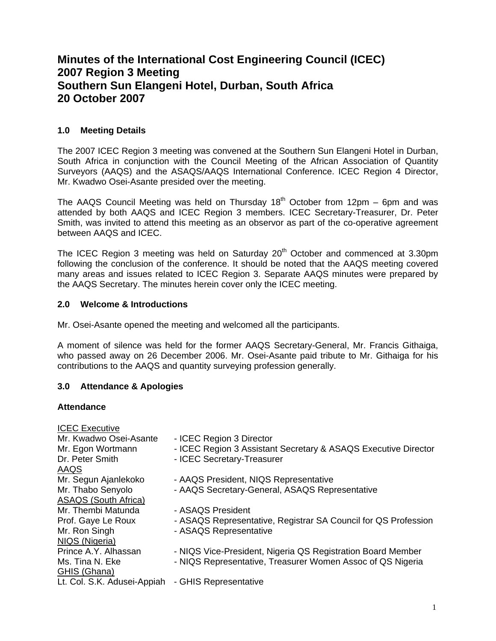# **Minutes of the International Cost Engineering Council (ICEC) 2007 Region 3 Meeting Southern Sun Elangeni Hotel, Durban, South Africa 20 October 2007**

# **1.0 Meeting Details**

The 2007 ICEC Region 3 meeting was convened at the Southern Sun Elangeni Hotel in Durban, South Africa in conjunction with the Council Meeting of the African Association of Quantity Surveyors (AAQS) and the ASAQS/AAQS International Conference. ICEC Region 4 Director, Mr. Kwadwo Osei-Asante presided over the meeting.

The AAQS Council Meeting was held on Thursday  $18<sup>th</sup>$  October from 12pm – 6pm and was attended by both AAQS and ICEC Region 3 members. ICEC Secretary-Treasurer, Dr. Peter Smith, was invited to attend this meeting as an observor as part of the co-operative agreement between AAQS and ICEC.

The ICEC Region 3 meeting was held on Saturday 20<sup>th</sup> October and commenced at 3.30pm following the conclusion of the conference. It should be noted that the AAQS meeting covered many areas and issues related to ICEC Region 3. Separate AAQS minutes were prepared by the AAQS Secretary. The minutes herein cover only the ICEC meeting.

## **2.0 Welcome & Introductions**

Mr. Osei-Asante opened the meeting and welcomed all the participants.

A moment of silence was held for the former AAQS Secretary-General, Mr. Francis Githaiga, who passed away on 26 December 2006. Mr. Osei-Asante paid tribute to Mr. Githaiga for his contributions to the AAQS and quantity surveying profession generally.

# **3.0 Attendance & Apologies**

## **Attendance**

| <b>ICEC</b> Executive       |                                                                |
|-----------------------------|----------------------------------------------------------------|
| Mr. Kwadwo Osei-Asante      | - ICEC Region 3 Director                                       |
| Mr. Egon Wortmann           | - ICEC Region 3 Assistant Secretary & ASAQS Executive Director |
| Dr. Peter Smith             | - ICEC Secretary-Treasurer                                     |
| AAQS                        |                                                                |
| Mr. Segun Ajanlekoko        | - AAQS President, NIQS Representative                          |
| Mr. Thabo Senyolo           | - AAQS Secretary-General, ASAQS Representative                 |
| <b>ASAQS (South Africa)</b> |                                                                |
| Mr. Thembi Matunda          | - ASAQS President                                              |
| Prof. Gaye Le Roux          | - ASAQS Representative, Registrar SA Council for QS Profession |
| Mr. Ron Singh               | - ASAQS Representative                                         |
| NIQS (Nigeria)              |                                                                |
| Prince A.Y. Alhassan        | - NIQS Vice-President, Nigeria QS Registration Board Member    |
| Ms. Tina N. Eke             | - NIQS Representative, Treasurer Women Assoc of QS Nigeria     |
| GHIS (Ghana)                |                                                                |
| Lt. Col. S.K. Adusei-Appiah | - GHIS Representative                                          |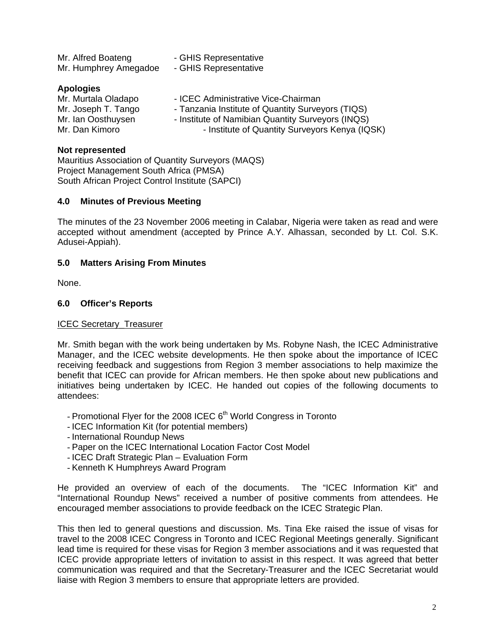| Mr. Alfred Boateng<br>Mr. Humphrey Amegadoe                                          | - GHIS Representative<br>- GHIS Representative                                                                                                |
|--------------------------------------------------------------------------------------|-----------------------------------------------------------------------------------------------------------------------------------------------|
| <b>Apologies</b><br>Mr. Murtala Oladapo<br>Mr. Joseph T. Tango<br>Mr. Ian Oosthuysen | - ICEC Administrative Vice-Chairman<br>- Tanzania Institute of Quantity Surveyors (TIQS)<br>- Institute of Namibian Quantity Surveyors (INQS) |
| Mr. Dan Kimoro                                                                       | - Institute of Quantity Surveyors Kenya (IQSK)                                                                                                |

#### **Not represented**

Mauritius Association of Quantity Surveyors (MAQS) Project Management South Africa (PMSA) South African Project Control Institute (SAPCI)

#### **4.0 Minutes of Previous Meeting**

The minutes of the 23 November 2006 meeting in Calabar, Nigeria were taken as read and were accepted without amendment (accepted by Prince A.Y. Alhassan, seconded by Lt. Col. S.K. Adusei-Appiah).

#### **5.0 Matters Arising From Minutes**

None.

#### **6.0 Officer's Reports**

## ICEC Secretary\_Treasurer

Mr. Smith began with the work being undertaken by Ms. Robyne Nash, the ICEC Administrative Manager, and the ICEC website developments. He then spoke about the importance of ICEC receiving feedback and suggestions from Region 3 member associations to help maximize the benefit that ICEC can provide for African members. He then spoke about new publications and initiatives being undertaken by ICEC. He handed out copies of the following documents to attendees:

- Promotional Flyer for the 2008 ICEC  $6<sup>th</sup>$  World Congress in Toronto
- ICEC Information Kit (for potential members)
- International Roundup News
- Paper on the ICEC International Location Factor Cost Model
- ICEC Draft Strategic Plan Evaluation Form
- Kenneth K Humphreys Award Program

He provided an overview of each of the documents. The "ICEC Information Kit" and "International Roundup News" received a number of positive comments from attendees. He encouraged member associations to provide feedback on the ICEC Strategic Plan.

This then led to general questions and discussion. Ms. Tina Eke raised the issue of visas for travel to the 2008 ICEC Congress in Toronto and ICEC Regional Meetings generally. Significant lead time is required for these visas for Region 3 member associations and it was requested that ICEC provide appropriate letters of invitation to assist in this respect. It was agreed that better communication was required and that the Secretary-Treasurer and the ICEC Secretariat would liaise with Region 3 members to ensure that appropriate letters are provided.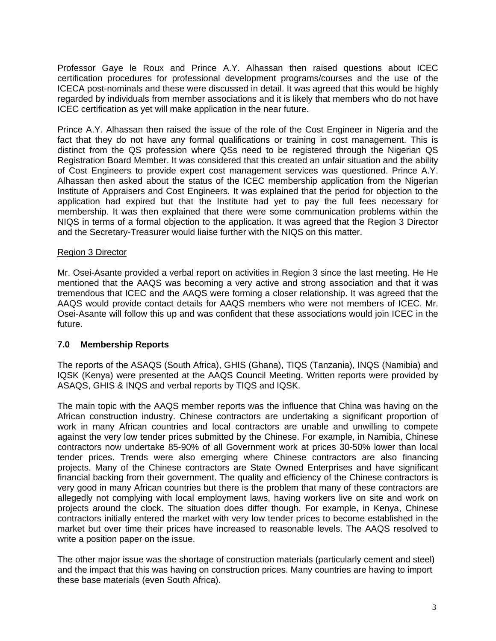Professor Gaye le Roux and Prince A.Y. Alhassan then raised questions about ICEC certification procedures for professional development programs/courses and the use of the ICECA post-nominals and these were discussed in detail. It was agreed that this would be highly regarded by individuals from member associations and it is likely that members who do not have ICEC certification as yet will make application in the near future.

Prince A.Y. Alhassan then raised the issue of the role of the Cost Engineer in Nigeria and the fact that they do not have any formal qualifications or training in cost management. This is distinct from the QS profession where QSs need to be registered through the Nigerian QS Registration Board Member. It was considered that this created an unfair situation and the ability of Cost Engineers to provide expert cost management services was questioned. Prince A.Y. Alhassan then asked about the status of the ICEC membership application from the Nigerian Institute of Appraisers and Cost Engineers. It was explained that the period for objection to the application had expired but that the Institute had yet to pay the full fees necessary for membership. It was then explained that there were some communication problems within the NIQS in terms of a formal objection to the application. It was agreed that the Region 3 Director and the Secretary-Treasurer would liaise further with the NIQS on this matter.

## Region 3 Director

Mr. Osei-Asante provided a verbal report on activities in Region 3 since the last meeting. He He mentioned that the AAQS was becoming a very active and strong association and that it was tremendous that ICEC and the AAQS were forming a closer relationship. It was agreed that the AAQS would provide contact details for AAQS members who were not members of ICEC. Mr. Osei-Asante will follow this up and was confident that these associations would join ICEC in the future.

## **7.0 Membership Reports**

The reports of the ASAQS (South Africa), GHIS (Ghana), TIQS (Tanzania), INQS (Namibia) and IQSK (Kenya) were presented at the AAQS Council Meeting. Written reports were provided by ASAQS, GHIS & INQS and verbal reports by TIQS and IQSK.

The main topic with the AAQS member reports was the influence that China was having on the African construction industry. Chinese contractors are undertaking a significant proportion of work in many African countries and local contractors are unable and unwilling to compete against the very low tender prices submitted by the Chinese. For example, in Namibia, Chinese contractors now undertake 85-90% of all Government work at prices 30-50% lower than local tender prices. Trends were also emerging where Chinese contractors are also financing projects. Many of the Chinese contractors are State Owned Enterprises and have significant financial backing from their government. The quality and efficiency of the Chinese contractors is very good in many African countries but there is the problem that many of these contractors are allegedly not complying with local employment laws, having workers live on site and work on projects around the clock. The situation does differ though. For example, in Kenya, Chinese contractors initially entered the market with very low tender prices to become established in the market but over time their prices have increased to reasonable levels. The AAQS resolved to write a position paper on the issue.

The other major issue was the shortage of construction materials (particularly cement and steel) and the impact that this was having on construction prices. Many countries are having to import these base materials (even South Africa).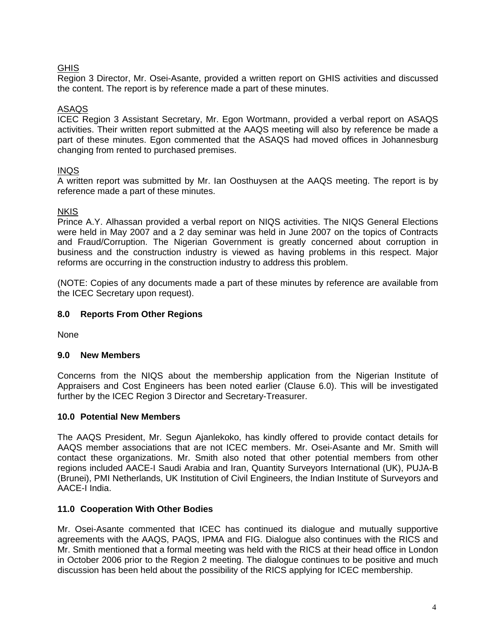# **GHIS**

Region 3 Director, Mr. Osei-Asante, provided a written report on GHIS activities and discussed the content. The report is by reference made a part of these minutes.

## ASAQS

ICEC Region 3 Assistant Secretary, Mr. Egon Wortmann, provided a verbal report on ASAQS activities. Their written report submitted at the AAQS meeting will also by reference be made a part of these minutes. Egon commented that the ASAQS had moved offices in Johannesburg changing from rented to purchased premises.

## INQS

A written report was submitted by Mr. Ian Oosthuysen at the AAQS meeting. The report is by reference made a part of these minutes.

## **NKIS**

Prince A.Y. Alhassan provided a verbal report on NIQS activities. The NIQS General Elections were held in May 2007 and a 2 day seminar was held in June 2007 on the topics of Contracts and Fraud/Corruption. The Nigerian Government is greatly concerned about corruption in business and the construction industry is viewed as having problems in this respect. Major reforms are occurring in the construction industry to address this problem.

(NOTE: Copies of any documents made a part of these minutes by reference are available from the ICEC Secretary upon request).

## **8.0 Reports From Other Regions**

None

## **9.0 New Members**

Concerns from the NIQS about the membership application from the Nigerian Institute of Appraisers and Cost Engineers has been noted earlier (Clause 6.0). This will be investigated further by the ICEC Region 3 Director and Secretary-Treasurer.

## **10.0 Potential New Members**

The AAQS President, Mr. Segun Ajanlekoko, has kindly offered to provide contact details for AAQS member associations that are not ICEC members. Mr. Osei-Asante and Mr. Smith will contact these organizations. Mr. Smith also noted that other potential members from other regions included AACE-I Saudi Arabia and Iran, Quantity Surveyors International (UK), PUJA-B (Brunei), PMI Netherlands, UK Institution of Civil Engineers, the Indian Institute of Surveyors and AACE-I India.

## **11.0 Cooperation With Other Bodies**

Mr. Osei-Asante commented that ICEC has continued its dialogue and mutually supportive agreements with the AAQS, PAQS, IPMA and FIG. Dialogue also continues with the RICS and Mr. Smith mentioned that a formal meeting was held with the RICS at their head office in London in October 2006 prior to the Region 2 meeting. The dialogue continues to be positive and much discussion has been held about the possibility of the RICS applying for ICEC membership.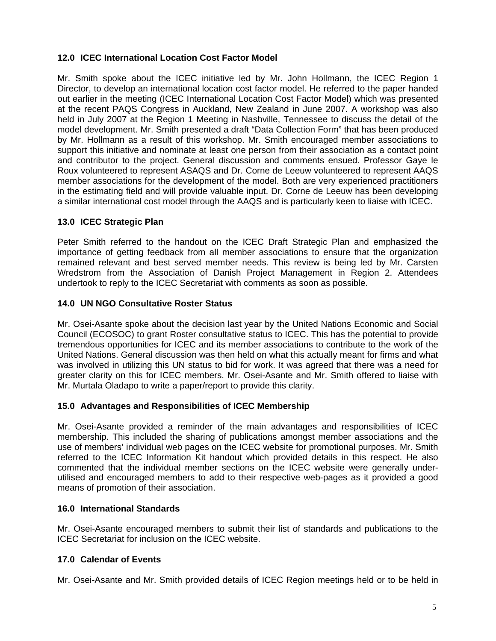# **12.0 ICEC International Location Cost Factor Model**

Mr. Smith spoke about the ICEC initiative led by Mr. John Hollmann, the ICEC Region 1 Director, to develop an international location cost factor model. He referred to the paper handed out earlier in the meeting (ICEC International Location Cost Factor Model) which was presented at the recent PAQS Congress in Auckland, New Zealand in June 2007. A workshop was also held in July 2007 at the Region 1 Meeting in Nashville, Tennessee to discuss the detail of the model development. Mr. Smith presented a draft "Data Collection Form" that has been produced by Mr. Hollmann as a result of this workshop. Mr. Smith encouraged member associations to support this initiative and nominate at least one person from their association as a contact point and contributor to the project. General discussion and comments ensued. Professor Gaye le Roux volunteered to represent ASAQS and Dr. Corne de Leeuw volunteered to represent AAQS member associations for the development of the model. Both are very experienced practitioners in the estimating field and will provide valuable input. Dr. Corne de Leeuw has been developing a similar international cost model through the AAQS and is particularly keen to liaise with ICEC.

## **13.0 ICEC Strategic Plan**

Peter Smith referred to the handout on the ICEC Draft Strategic Plan and emphasized the importance of getting feedback from all member associations to ensure that the organization remained relevant and best served member needs. This review is being led by Mr. Carsten Wredstrom from the Association of Danish Project Management in Region 2. Attendees undertook to reply to the ICEC Secretariat with comments as soon as possible.

## **14.0 UN NGO Consultative Roster Status**

Mr. Osei-Asante spoke about the decision last year by the United Nations Economic and Social Council (ECOSOC) to grant Roster consultative status to ICEC. This has the potential to provide tremendous opportunities for ICEC and its member associations to contribute to the work of the United Nations. General discussion was then held on what this actually meant for firms and what was involved in utilizing this UN status to bid for work. It was agreed that there was a need for greater clarity on this for ICEC members. Mr. Osei-Asante and Mr. Smith offered to liaise with Mr. Murtala Oladapo to write a paper/report to provide this clarity.

## **15.0 Advantages and Responsibilities of ICEC Membership**

Mr. Osei-Asante provided a reminder of the main advantages and responsibilities of ICEC membership. This included the sharing of publications amongst member associations and the use of members' individual web pages on the ICEC website for promotional purposes. Mr. Smith referred to the ICEC Information Kit handout which provided details in this respect. He also commented that the individual member sections on the ICEC website were generally underutilised and encouraged members to add to their respective web-pages as it provided a good means of promotion of their association.

## **16.0 International Standards**

Mr. Osei-Asante encouraged members to submit their list of standards and publications to the ICEC Secretariat for inclusion on the ICEC website.

# **17.0 Calendar of Events**

Mr. Osei-Asante and Mr. Smith provided details of ICEC Region meetings held or to be held in